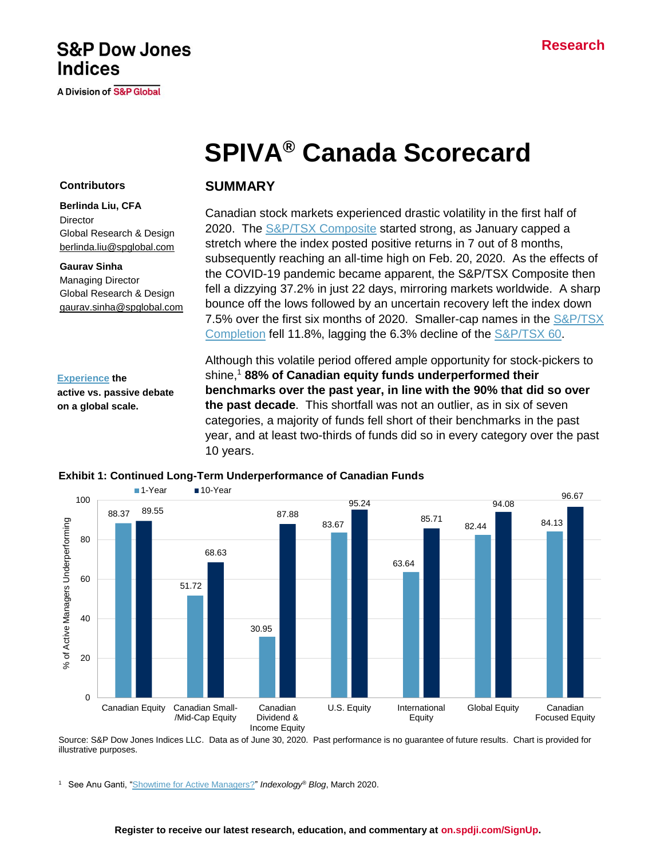## **Research**

## **S&P Dow Jones Indices**

**A Division of S&P Global** 

# **SPIVA® Canada Scorecard**

#### **Contributors**

**Berlinda Liu, CFA Director** Global Research & Design [berlinda.liu@spglobal.com](mailto:berlinda.liu@spglobal.com)

#### **Gaurav Sinha**

Managing Director Global Research & Design [gaurav.sinha@spglobal.com](mailto:berlinda.liu@spglobal.com)

## **SUMMARY**

Canadian stock markets experienced drastic volatility in the first half of 2020. The [S&P/TSX Composite](https://www.spglobal.com/spdji/en/indices/equity/sp-tsx-composite-index) started strong, as January capped a stretch where the index posted positive returns in 7 out of 8 months, subsequently reaching an all-time high on Feb. 20, 2020. As the effects of the COVID-19 pandemic became apparent, the S&P/TSX Composite then fell a dizzying 37.2% in just 22 days, mirroring markets worldwide. A sharp bounce off the lows followed by an uncertain recovery left the index down 7.5% over the first six months of 2020. Smaller-cap names in the [S&P/TSX](https://www.spglobal.com/spdji/en/indices/equity/sp-tsx-completion-index)  [Completion](https://www.spglobal.com/spdji/en/indices/equity/sp-tsx-completion-index) fell 11.8%, lagging the 6.3% decline of the [S&P/TSX 60.](https://www.spglobal.com/spdji/en/indices/equity/sp-tsx-60-index)

#### **[Experience](https://www.spglobal.com/spdji/en/research-insights/spiva/) the**

**active vs. passive debate on a global scale.**

Although this volatile period offered ample opportunity for stock-pickers to shine, <sup>1</sup> **88% of Canadian equity funds underperformed their benchmarks over the past year, in line with the 90% that did so over the past decade**. This shortfall was not an outlier, as in six of seven categories, a majority of funds fell short of their benchmarks in the past year, and at least two-thirds of funds did so in every category over the past 10 years.



#### **Exhibit 1: Continued Long-Term Underperformance of Canadian Funds**

Source: S&P Dow Jones Indices LLC. Data as of June 30, 2020. Past performance is no guarantee of future results. Chart is provided for illustrative purposes.

<sup>1</sup> See Anu Ganti, ["Showtime for Active Managers?"](https://www.indexologyblog.com/2020/03/19/showtime-for-active-managers/) *Indexology® Blog*, March 2020.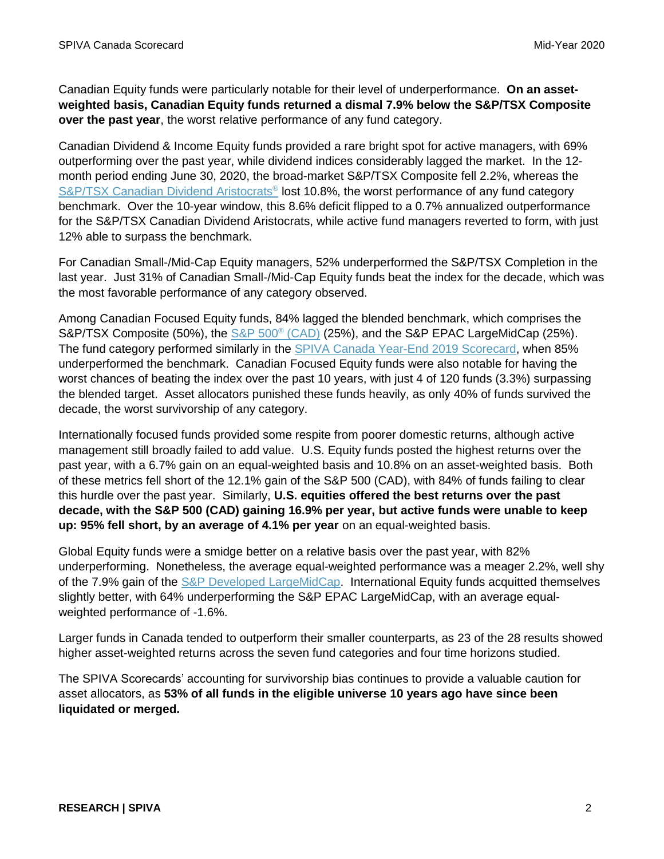Canadian Equity funds were particularly notable for their level of underperformance. **On an assetweighted basis, Canadian Equity funds returned a dismal 7.9% below the S&P/TSX Composite over the past year**, the worst relative performance of any fund category.

Canadian Dividend & Income Equity funds provided a rare bright spot for active managers, with 69% outperforming over the past year, while dividend indices considerably lagged the market. In the 12 month period ending June 30, 2020, the broad-market S&P/TSX Composite fell 2.2%, whereas the [S&P/TSX Canadian Dividend Aristocrats](https://www.spglobal.com/spdji/en/indices/strategy/sp-tsx-canadian-dividend-aristocrats-index)<sup>®</sup> lost 10.8%, the worst performance of any fund category benchmark. Over the 10-year window, this 8.6% deficit flipped to a 0.7% annualized outperformance for the S&P/TSX Canadian Dividend Aristocrats, while active fund managers reverted to form, with just 12% able to surpass the benchmark.

For Canadian Small-/Mid-Cap Equity managers, 52% underperformed the S&P/TSX Completion in the last year. Just 31% of Canadian Small-/Mid-Cap Equity funds beat the index for the decade, which was the most favorable performance of any category observed.

Among Canadian Focused Equity funds, 84% lagged the blended benchmark, which comprises the S&P/TSX Composite (50%), the [S&P 500](https://www.spglobal.com/spdji/en/indices/equity/sp-500/)<sup>®</sup> (CAD) (25%), and the S&P EPAC LargeMidCap (25%). The fund category performed similarly in the SPIVA [Canada Year-End 2019 Scorecard,](https://www.spglobal.com/spdji/en/documents/spiva/spiva-canada-scorecard-year-end-2019.pdf) when 85% underperformed the benchmark. Canadian Focused Equity funds were also notable for having the worst chances of beating the index over the past 10 years, with just 4 of 120 funds (3.3%) surpassing the blended target. Asset allocators punished these funds heavily, as only 40% of funds survived the decade, the worst survivorship of any category.

Internationally focused funds provided some respite from poorer domestic returns, although active management still broadly failed to add value. U.S. Equity funds posted the highest returns over the past year, with a 6.7% gain on an equal-weighted basis and 10.8% on an asset-weighted basis. Both of these metrics fell short of the 12.1% gain of the S&P 500 (CAD), with 84% of funds failing to clear this hurdle over the past year. Similarly, **U.S. equities offered the best returns over the past decade, with the S&P 500 (CAD) gaining 16.9% per year, but active funds were unable to keep up: 95% fell short, by an average of 4.1% per year** on an equal-weighted basis.

Global Equity funds were a smidge better on a relative basis over the past year, with 82% underperforming. Nonetheless, the average equal-weighted performance was a meager 2.2%, well shy of the 7.9% gain of the [S&P Developed LargeMidCap.](https://www.spglobal.com/spdji/en/indices/equity/sp-developed-largemidcap/) International Equity funds acquitted themselves slightly better, with 64% underperforming the S&P EPAC LargeMidCap, with an average equalweighted performance of -1.6%.

Larger funds in Canada tended to outperform their smaller counterparts, as 23 of the 28 results showed higher asset-weighted returns across the seven fund categories and four time horizons studied.

The SPIVA Scorecards' accounting for survivorship bias continues to provide a valuable caution for asset allocators, as **53% of all funds in the eligible universe 10 years ago have since been liquidated or merged.**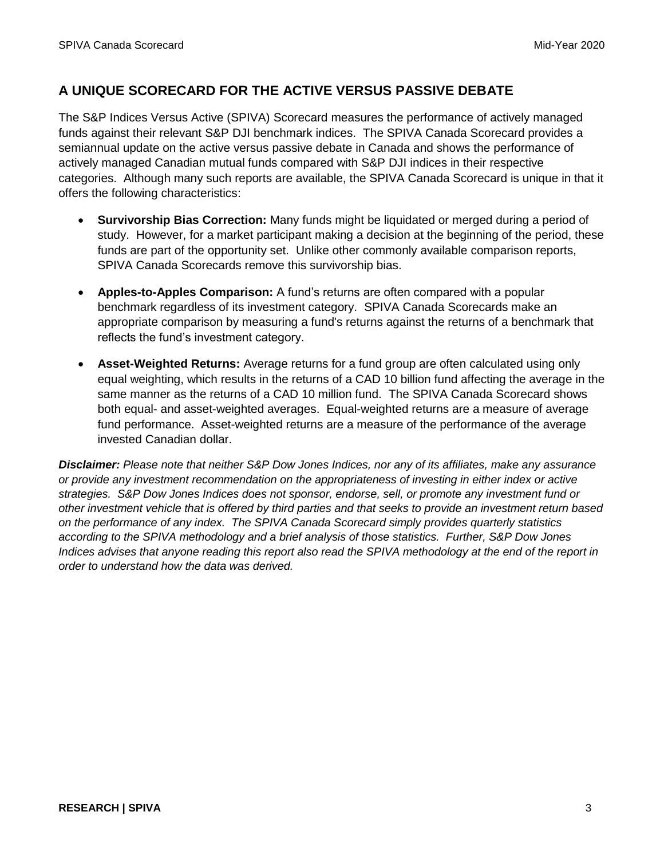## **A UNIQUE SCORECARD FOR THE ACTIVE VERSUS PASSIVE DEBATE**

The S&P Indices Versus Active (SPIVA) Scorecard measures the performance of actively managed funds against their relevant S&P DJI benchmark indices. The SPIVA Canada Scorecard provides a semiannual update on the active versus passive debate in Canada and shows the performance of actively managed Canadian mutual funds compared with S&P DJI indices in their respective categories. Although many such reports are available, the SPIVA Canada Scorecard is unique in that it offers the following characteristics:

- **Survivorship Bias Correction:** Many funds might be liquidated or merged during a period of study. However, for a market participant making a decision at the beginning of the period, these funds are part of the opportunity set. Unlike other commonly available comparison reports, SPIVA Canada Scorecards remove this survivorship bias.
- **Apples-to-Apples Comparison:** A fund's returns are often compared with a popular benchmark regardless of its investment category. SPIVA Canada Scorecards make an appropriate comparison by measuring a fund's returns against the returns of a benchmark that reflects the fund's investment category.
- **Asset-Weighted Returns:** Average returns for a fund group are often calculated using only equal weighting, which results in the returns of a CAD 10 billion fund affecting the average in the same manner as the returns of a CAD 10 million fund. The SPIVA Canada Scorecard shows both equal- and asset-weighted averages. Equal-weighted returns are a measure of average fund performance. Asset-weighted returns are a measure of the performance of the average invested Canadian dollar.

*Disclaimer: Please note that neither S&P Dow Jones Indices, nor any of its affiliates, make any assurance or provide any investment recommendation on the appropriateness of investing in either index or active strategies. S&P Dow Jones Indices does not sponsor, endorse, sell, or promote any investment fund or other investment vehicle that is offered by third parties and that seeks to provide an investment return based on the performance of any index. The SPIVA Canada Scorecard simply provides quarterly statistics according to the SPIVA methodology and a brief analysis of those statistics. Further, S&P Dow Jones Indices advises that anyone reading this report also read the SPIVA methodology at the end of the report in order to understand how the data was derived.*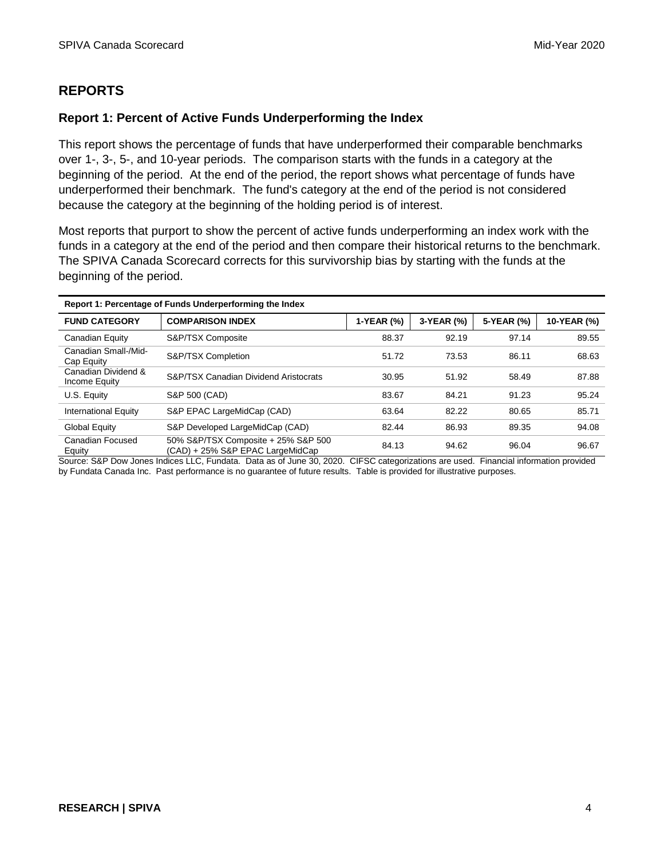## **REPORTS**

## **Report 1: Percent of Active Funds Underperforming the Index**

This report shows the percentage of funds that have underperformed their comparable benchmarks over 1-, 3-, 5-, and 10-year periods. The comparison starts with the funds in a category at the beginning of the period. At the end of the period, the report shows what percentage of funds have underperformed their benchmark. The fund's category at the end of the period is not considered because the category at the beginning of the holding period is of interest.

Most reports that purport to show the percent of active funds underperforming an index work with the funds in a category at the end of the period and then compare their historical returns to the benchmark. The SPIVA Canada Scorecard corrects for this survivorship bias by starting with the funds at the beginning of the period.

| Report 1: Percentage of Funds Underperforming the Index |                                                                         |            |            |            |             |
|---------------------------------------------------------|-------------------------------------------------------------------------|------------|------------|------------|-------------|
| <b>FUND CATEGORY</b>                                    | <b>COMPARISON INDEX</b>                                                 | 1-YEAR (%) | 3-YEAR (%) | 5-YEAR (%) | 10-YEAR (%) |
| Canadian Equity                                         | S&P/TSX Composite                                                       | 88.37      | 92.19      | 97.14      | 89.55       |
| Canadian Small-/Mid-<br>Cap Equity                      | S&P/TSX Completion                                                      | 51.72      | 73.53      | 86.11      | 68.63       |
| Canadian Dividend &<br>Income Equity                    | <b>S&amp;P/TSX Canadian Dividend Aristocrats</b>                        | 30.95      | 51.92      | 58.49      | 87.88       |
| U.S. Equity                                             | S&P 500 (CAD)                                                           | 83.67      | 84.21      | 91.23      | 95.24       |
| <b>International Equity</b>                             | S&P EPAC LargeMidCap (CAD)                                              | 63.64      | 82.22      | 80.65      | 85.71       |
| <b>Global Equity</b>                                    | S&P Developed LargeMidCap (CAD)                                         | 82.44      | 86.93      | 89.35      | 94.08       |
| Canadian Focused<br>Equity                              | 50% S&P/TSX Composite + 25% S&P 500<br>(CAD) + 25% S&P EPAC LargeMidCap | 84.13      | 94.62      | 96.04      | 96.67       |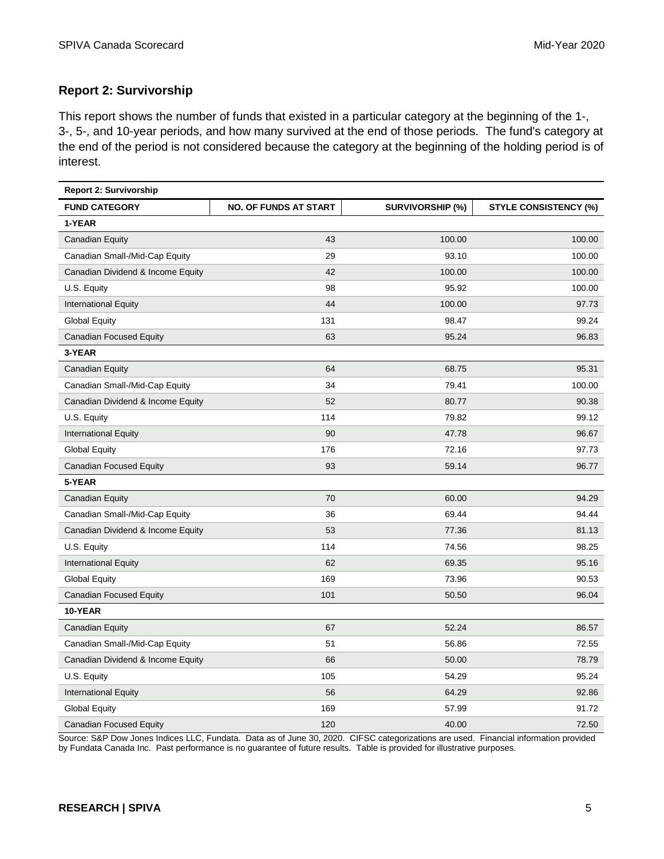## **Report 2: Survivorship**

This report shows the number of funds that existed in a particular category at the beginning of the 1-, 3-, 5-, and 10-year periods, and how many survived at the end of those periods. The fund's category at the end of the period is not considered because the category at the beginning of the holding period is of interest.

| <b>Report 2: Survivorship</b>     |                              |                         |                              |
|-----------------------------------|------------------------------|-------------------------|------------------------------|
| <b>FUND CATEGORY</b>              | <b>NO. OF FUNDS AT START</b> | <b>SURVIVORSHIP (%)</b> | <b>STYLE CONSISTENCY (%)</b> |
| 1-YEAR                            |                              |                         |                              |
| Canadian Equity                   | 43                           | 100.00                  | 100.00                       |
| Canadian Small-/Mid-Cap Equity    | 29                           | 93.10                   | 100.00                       |
| Canadian Dividend & Income Equity | 42                           | 100.00                  | 100.00                       |
| U.S. Equity                       | 98                           | 95.92                   | 100.00                       |
| <b>International Equity</b>       | 44                           | 100.00                  | 97.73                        |
| <b>Global Equity</b>              | 131                          | 98.47                   | 99.24                        |
| <b>Canadian Focused Equity</b>    | 63                           | 95.24                   | 96.83                        |
| 3-YEAR                            |                              |                         |                              |
| Canadian Equity                   | 64                           | 68.75                   | 95.31                        |
| Canadian Small-/Mid-Cap Equity    | 34                           | 79.41                   | 100.00                       |
| Canadian Dividend & Income Equity | 52                           | 80.77                   | 90.38                        |
| U.S. Equity                       | 114                          | 79.82                   | 99.12                        |
| <b>International Equity</b>       | 90                           | 47.78                   | 96.67                        |
| <b>Global Equity</b>              | 176                          | 72.16                   | 97.73                        |
| <b>Canadian Focused Equity</b>    | 93                           | 59.14                   | 96.77                        |
| 5-YEAR                            |                              |                         |                              |
| <b>Canadian Equity</b>            | 70                           | 60.00                   | 94.29                        |
| Canadian Small-/Mid-Cap Equity    | 36                           | 69.44                   | 94.44                        |
| Canadian Dividend & Income Equity | 53                           | 77.36                   | 81.13                        |
| U.S. Equity                       | 114                          | 74.56                   | 98.25                        |
| <b>International Equity</b>       | 62                           | 69.35                   | 95.16                        |
| <b>Global Equity</b>              | 169                          | 73.96                   | 90.53                        |
| <b>Canadian Focused Equity</b>    | 101                          | 50.50                   | 96.04                        |
| 10-YEAR                           |                              |                         |                              |
| <b>Canadian Equity</b>            | 67                           | 52.24                   | 86.57                        |
| Canadian Small-/Mid-Cap Equity    | 51                           | 56.86                   | 72.55                        |
| Canadian Dividend & Income Equity | 66                           | 50.00                   | 78.79                        |
| U.S. Equity                       | 105                          | 54.29                   | 95.24                        |
| <b>International Equity</b>       | 56                           | 64.29                   | 92.86                        |
| <b>Global Equity</b>              | 169                          | 57.99                   | 91.72                        |
| <b>Canadian Focused Equity</b>    | 120                          | 40.00                   | 72.50                        |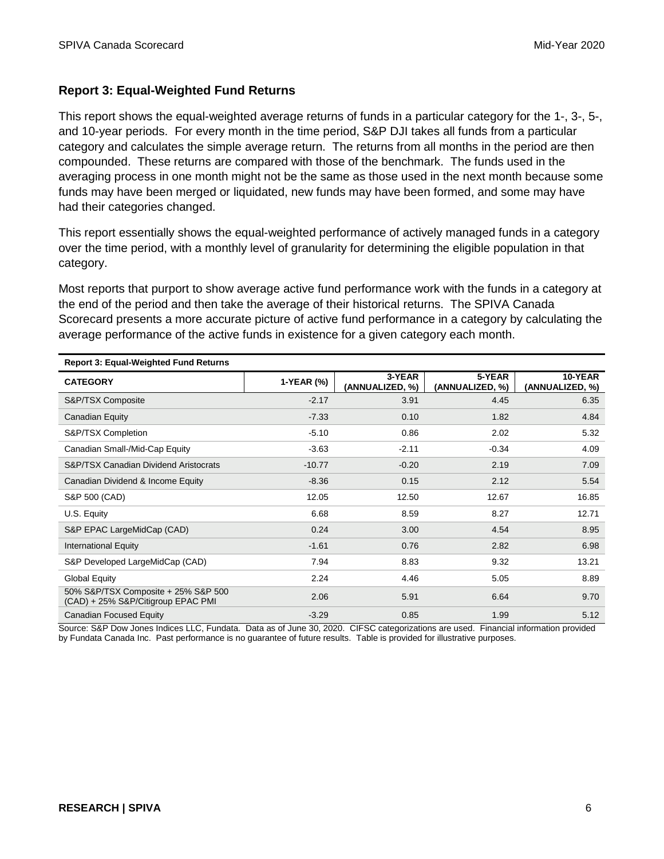## **Report 3: Equal-Weighted Fund Returns**

This report shows the equal-weighted average returns of funds in a particular category for the 1-, 3-, 5-, and 10-year periods. For every month in the time period, S&P DJI takes all funds from a particular category and calculates the simple average return. The returns from all months in the period are then compounded. These returns are compared with those of the benchmark. The funds used in the averaging process in one month might not be the same as those used in the next month because some funds may have been merged or liquidated, new funds may have been formed, and some may have had their categories changed.

This report essentially shows the equal-weighted performance of actively managed funds in a category over the time period, with a monthly level of granularity for determining the eligible population in that category.

Most reports that purport to show average active fund performance work with the funds in a category at the end of the period and then take the average of their historical returns. The SPIVA Canada Scorecard presents a more accurate picture of active fund performance in a category by calculating the average performance of the active funds in existence for a given category each month.

| <b>Report 3: Equal-Weighted Fund Returns</b>                              |            |                           |                           |                            |
|---------------------------------------------------------------------------|------------|---------------------------|---------------------------|----------------------------|
| <b>CATEGORY</b>                                                           | 1-YEAR (%) | 3-YEAR<br>(ANNUALIZED, %) | 5-YEAR<br>(ANNUALIZED, %) | 10-YEAR<br>(ANNUALIZED, %) |
| S&P/TSX Composite                                                         | $-2.17$    | 3.91                      | 4.45                      | 6.35                       |
| Canadian Equity                                                           | $-7.33$    | 0.10                      | 1.82                      | 4.84                       |
| S&P/TSX Completion                                                        | $-5.10$    | 0.86                      | 2.02                      | 5.32                       |
| Canadian Small-/Mid-Cap Equity                                            | $-3.63$    | $-2.11$                   | $-0.34$                   | 4.09                       |
| S&P/TSX Canadian Dividend Aristocrats                                     | $-10.77$   | $-0.20$                   | 2.19                      | 7.09                       |
| Canadian Dividend & Income Equity                                         | $-8.36$    | 0.15                      | 2.12                      | 5.54                       |
| S&P 500 (CAD)                                                             | 12.05      | 12.50                     | 12.67                     | 16.85                      |
| U.S. Equity                                                               | 6.68       | 8.59                      | 8.27                      | 12.71                      |
| S&P EPAC LargeMidCap (CAD)                                                | 0.24       | 3.00                      | 4.54                      | 8.95                       |
| <b>International Equity</b>                                               | $-1.61$    | 0.76                      | 2.82                      | 6.98                       |
| S&P Developed LargeMidCap (CAD)                                           | 7.94       | 8.83                      | 9.32                      | 13.21                      |
| <b>Global Equity</b>                                                      | 2.24       | 4.46                      | 5.05                      | 8.89                       |
| 50% S&P/TSX Composite + 25% S&P 500<br>(CAD) + 25% S&P/Citigroup EPAC PMI | 2.06       | 5.91                      | 6.64                      | 9.70                       |
| <b>Canadian Focused Equity</b>                                            | $-3.29$    | 0.85                      | 1.99                      | 5.12                       |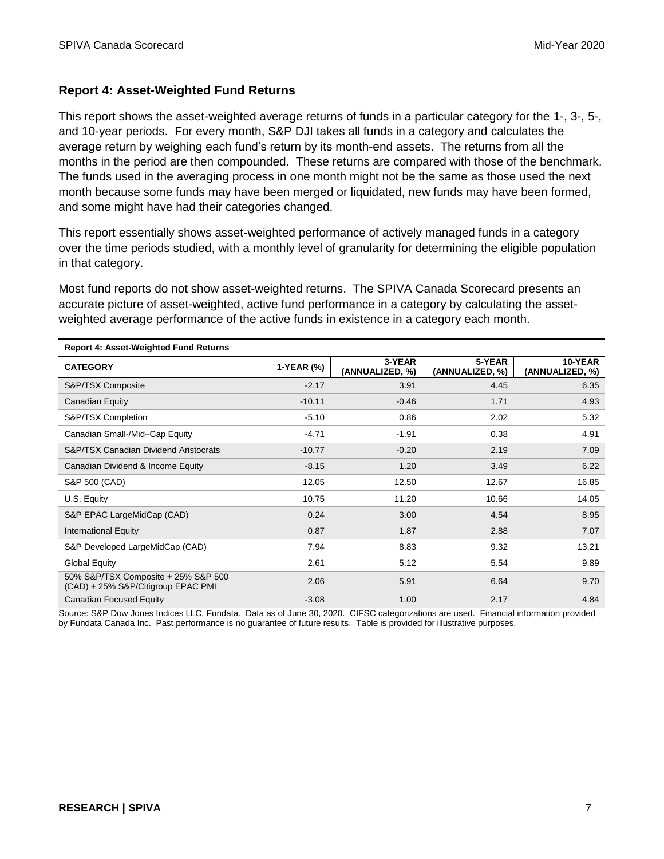## **Report 4: Asset-Weighted Fund Returns**

This report shows the asset-weighted average returns of funds in a particular category for the 1-, 3-, 5-, and 10-year periods. For every month, S&P DJI takes all funds in a category and calculates the average return by weighing each fund's return by its month-end assets. The returns from all the months in the period are then compounded. These returns are compared with those of the benchmark. The funds used in the averaging process in one month might not be the same as those used the next month because some funds may have been merged or liquidated, new funds may have been formed, and some might have had their categories changed.

This report essentially shows asset-weighted performance of actively managed funds in a category over the time periods studied, with a monthly level of granularity for determining the eligible population in that category.

Most fund reports do not show asset-weighted returns. The SPIVA Canada Scorecard presents an accurate picture of asset-weighted, active fund performance in a category by calculating the assetweighted average performance of the active funds in existence in a category each month.

| <b>Report 4: Asset-Weighted Fund Returns</b>                              |            |                           |                           |                            |
|---------------------------------------------------------------------------|------------|---------------------------|---------------------------|----------------------------|
| <b>CATEGORY</b>                                                           | 1-YEAR (%) | 3-YEAR<br>(ANNUALIZED, %) | 5-YEAR<br>(ANNUALIZED, %) | 10-YEAR<br>(ANNUALIZED, %) |
| S&P/TSX Composite                                                         | $-2.17$    | 3.91                      | 4.45                      | 6.35                       |
| Canadian Equity                                                           | $-10.11$   | $-0.46$                   | 1.71                      | 4.93                       |
| S&P/TSX Completion                                                        | $-5.10$    | 0.86                      | 2.02                      | 5.32                       |
| Canadian Small-/Mid-Cap Equity                                            | $-4.71$    | $-1.91$                   | 0.38                      | 4.91                       |
| <b>S&amp;P/TSX Canadian Dividend Aristocrats</b>                          | $-10.77$   | $-0.20$                   | 2.19                      | 7.09                       |
| Canadian Dividend & Income Equity                                         | $-8.15$    | 1.20                      | 3.49                      | 6.22                       |
| S&P 500 (CAD)                                                             | 12.05      | 12.50                     | 12.67                     | 16.85                      |
| U.S. Equity                                                               | 10.75      | 11.20                     | 10.66                     | 14.05                      |
| S&P EPAC LargeMidCap (CAD)                                                | 0.24       | 3.00                      | 4.54                      | 8.95                       |
| <b>International Equity</b>                                               | 0.87       | 1.87                      | 2.88                      | 7.07                       |
| S&P Developed LargeMidCap (CAD)                                           | 7.94       | 8.83                      | 9.32                      | 13.21                      |
| <b>Global Equity</b>                                                      | 2.61       | 5.12                      | 5.54                      | 9.89                       |
| 50% S&P/TSX Composite + 25% S&P 500<br>(CAD) + 25% S&P/Citigroup EPAC PMI | 2.06       | 5.91                      | 6.64                      | 9.70                       |
| <b>Canadian Focused Equity</b>                                            | $-3.08$    | 1.00                      | 2.17                      | 4.84                       |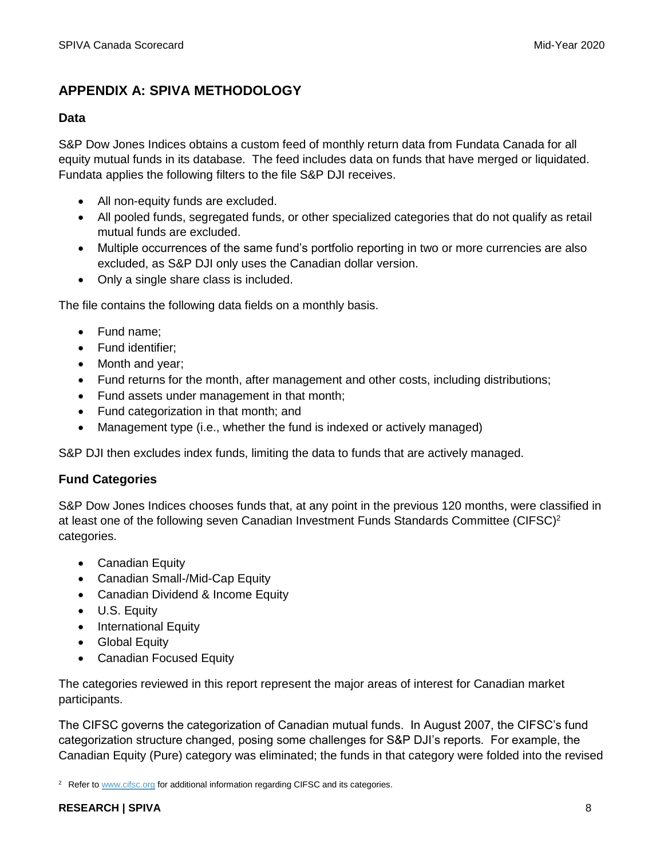## **APPENDIX A: SPIVA METHODOLOGY**

## **Data**

S&P Dow Jones Indices obtains a custom feed of monthly return data from Fundata Canada for all equity mutual funds in its database. The feed includes data on funds that have merged or liquidated. Fundata applies the following filters to the file S&P DJI receives.

- All non-equity funds are excluded.
- All pooled funds, segregated funds, or other specialized categories that do not qualify as retail mutual funds are excluded.
- Multiple occurrences of the same fund's portfolio reporting in two or more currencies are also excluded, as S&P DJI only uses the Canadian dollar version.
- Only a single share class is included.

The file contains the following data fields on a monthly basis.

- Fund name:
- Fund identifier;
- Month and year;
- Fund returns for the month, after management and other costs, including distributions;
- Fund assets under management in that month;
- Fund categorization in that month; and
- Management type (i.e., whether the fund is indexed or actively managed)

S&P DJI then excludes index funds, limiting the data to funds that are actively managed.

## **Fund Categories**

S&P Dow Jones Indices chooses funds that, at any point in the previous 120 months, were classified in at least one of the following seven Canadian Investment Funds Standards Committee (CIFSC)<sup>2</sup> categories.

- Canadian Equity
- Canadian Small-/Mid-Cap Equity
- Canadian Dividend & Income Equity
- U.S. Equity
- International Equity
- Global Equity
- Canadian Focused Equity

The categories reviewed in this report represent the major areas of interest for Canadian market participants.

The CIFSC governs the categorization of Canadian mutual funds. In August 2007, the CIFSC's fund categorization structure changed, posing some challenges for S&P DJI's reports. For example, the Canadian Equity (Pure) category was eliminated; the funds in that category were folded into the revised

<sup>&</sup>lt;sup>2</sup> Refer t[o www.cifsc.org](http://www.cifsc.org/) for additional information regarding CIFSC and its categories.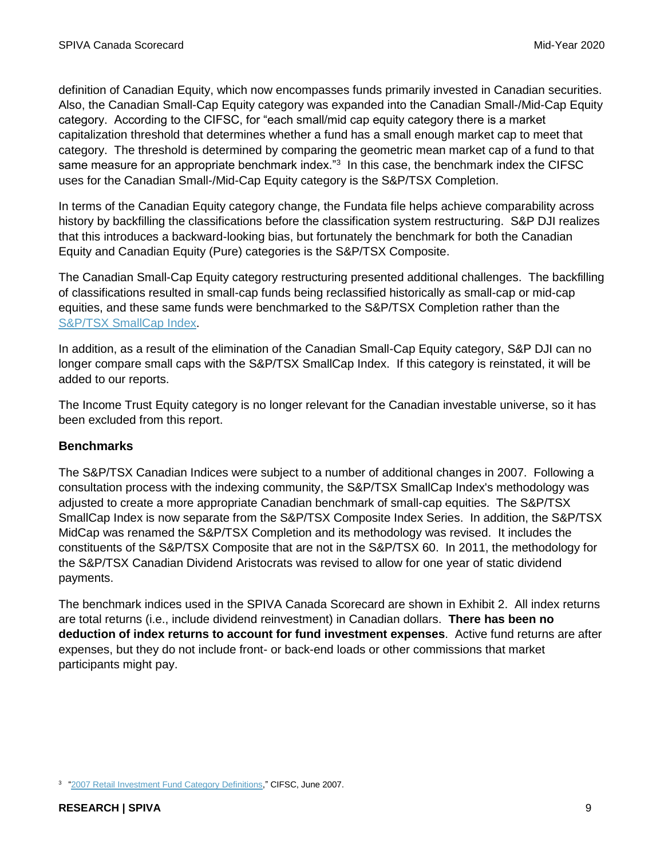definition of Canadian Equity, which now encompasses funds primarily invested in Canadian securities. Also, the Canadian Small-Cap Equity category was expanded into the Canadian Small-/Mid-Cap Equity category. According to the CIFSC, for "each small/mid cap equity category there is a market capitalization threshold that determines whether a fund has a small enough market cap to meet that category. The threshold is determined by comparing the geometric mean market cap of a fund to that same measure for an appropriate benchmark index."<sup>3</sup> In this case, the benchmark index the CIFSC uses for the Canadian Small-/Mid-Cap Equity category is the S&P/TSX Completion.

In terms of the Canadian Equity category change, the Fundata file helps achieve comparability across history by backfilling the classifications before the classification system restructuring. S&P DJI realizes that this introduces a backward-looking bias, but fortunately the benchmark for both the Canadian Equity and Canadian Equity (Pure) categories is the S&P/TSX Composite.

The Canadian Small-Cap Equity category restructuring presented additional challenges. The backfilling of classifications resulted in small-cap funds being reclassified historically as small-cap or mid-cap equities, and these same funds were benchmarked to the S&P/TSX Completion rather than the [S&P/TSX SmallCap Index.](https://www.spglobal.com/spdji/en/indices/equity/sp-tsx-smallcap-index)

In addition, as a result of the elimination of the Canadian Small-Cap Equity category, S&P DJI can no longer compare small caps with the S&P/TSX SmallCap Index. If this category is reinstated, it will be added to our reports.

The Income Trust Equity category is no longer relevant for the Canadian investable universe, so it has been excluded from this report.

## **Benchmarks**

The S&P/TSX Canadian Indices were subject to a number of additional changes in 2007. Following a consultation process with the indexing community, the S&P/TSX SmallCap Index's methodology was adjusted to create a more appropriate Canadian benchmark of small-cap equities. The S&P/TSX SmallCap Index is now separate from the S&P/TSX Composite Index Series. In addition, the S&P/TSX MidCap was renamed the S&P/TSX Completion and its methodology was revised. It includes the constituents of the S&P/TSX Composite that are not in the S&P/TSX 60. In 2011, the methodology for the S&P/TSX Canadian Dividend Aristocrats was revised to allow for one year of static dividend payments.

The benchmark indices used in the SPIVA Canada Scorecard are shown in Exhibit 2. All index returns are total returns (i.e., include dividend reinvestment) in Canadian dollars. **There has been no deduction of index returns to account for fund investment expenses**. Active fund returns are after expenses, but they do not include front- or back-end loads or other commissions that market participants might pay.

<sup>&</sup>lt;sup>3</sup> ["2007 Retail Investment Fund Category Definitions,](http://www.cifsc.org/wp-content/uploads/2014/09/CIFSC-2007-Category-Definitions-29Jun071.pdf)" CIFSC, June 2007.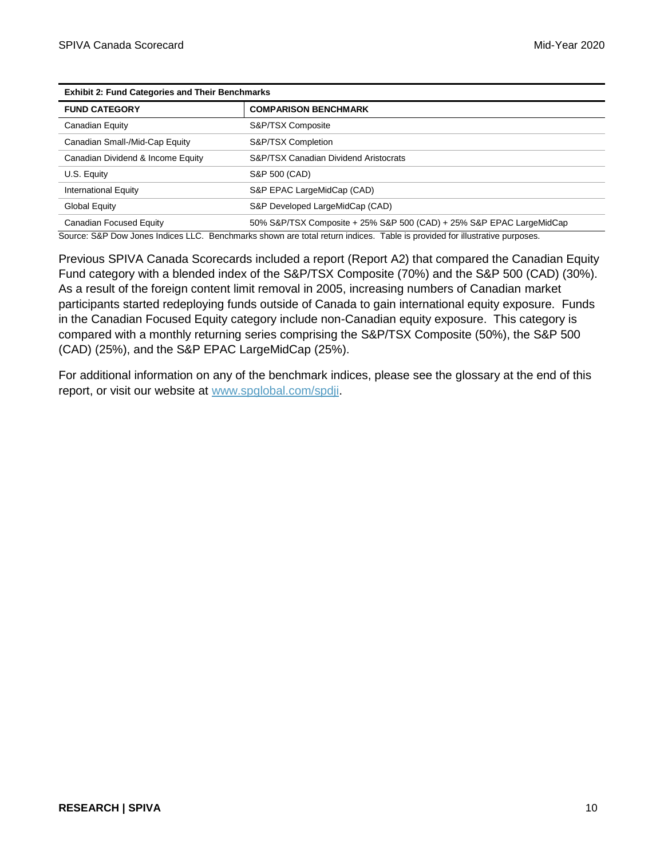| <b>Exhibit 2: Fund Categories and Their Benchmarks</b> |                                                                      |  |  |
|--------------------------------------------------------|----------------------------------------------------------------------|--|--|
| <b>FUND CATEGORY</b>                                   | <b>COMPARISON BENCHMARK</b>                                          |  |  |
| Canadian Equity                                        | S&P/TSX Composite                                                    |  |  |
| Canadian Small-/Mid-Cap Equity                         | S&P/TSX Completion                                                   |  |  |
| Canadian Dividend & Income Equity                      | <b>S&amp;P/TSX Canadian Dividend Aristocrats</b>                     |  |  |
| U.S. Equity                                            | S&P 500 (CAD)                                                        |  |  |
| <b>International Equity</b>                            | S&P EPAC LargeMidCap (CAD)                                           |  |  |
| Global Equity                                          | S&P Developed LargeMidCap (CAD)                                      |  |  |
| Canadian Focused Equity                                | 50% S&P/TSX Composite + 25% S&P 500 (CAD) + 25% S&P EPAC LargeMidCap |  |  |

Source: S&P Dow Jones Indices LLC. Benchmarks shown are total return indices. Table is provided for illustrative purposes.

Previous SPIVA Canada Scorecards included a report (Report A2) that compared the Canadian Equity Fund category with a blended index of the S&P/TSX Composite (70%) and the S&P 500 (CAD) (30%). As a result of the foreign content limit removal in 2005, increasing numbers of Canadian market participants started redeploying funds outside of Canada to gain international equity exposure. Funds in the Canadian Focused Equity category include non-Canadian equity exposure. This category is compared with a monthly returning series comprising the S&P/TSX Composite (50%), the S&P 500 (CAD) (25%), and the S&P EPAC LargeMidCap (25%).

For additional information on any of the benchmark indices, please see the glossary at the end of this report, or visit our website at [www.spglobal.com/spdji.](http://www.spglobal.com/spdji)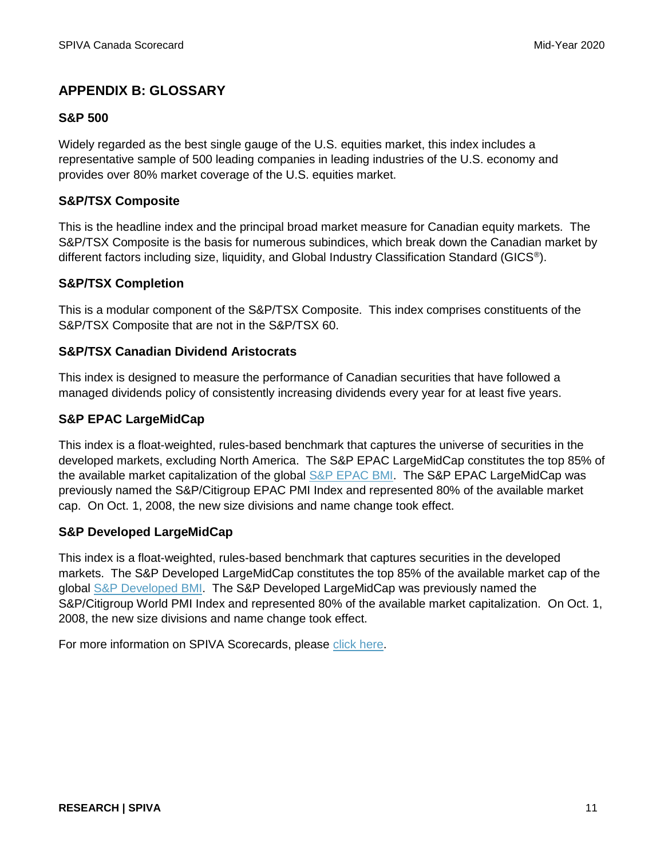## **APPENDIX B: GLOSSARY**

## **S&P 500**

Widely regarded as the best single gauge of the U.S. equities market, this index includes a representative sample of 500 leading companies in leading industries of the U.S. economy and provides over 80% market coverage of the U.S. equities market.

## **S&P/TSX Composite**

This is the headline index and the principal broad market measure for Canadian equity markets. The S&P/TSX Composite is the basis for numerous subindices, which break down the Canadian market by different factors including size, liquidity, and Global Industry Classification Standard (GICS®).

## **S&P/TSX Completion**

This is a modular component of the S&P/TSX Composite. This index comprises constituents of the S&P/TSX Composite that are not in the S&P/TSX 60.

## **S&P/TSX Canadian Dividend Aristocrats**

This index is designed to measure the performance of Canadian securities that have followed a managed dividends policy of consistently increasing dividends every year for at least five years.

## **S&P EPAC LargeMidCap**

This index is a float-weighted, rules-based benchmark that captures the universe of securities in the developed markets, excluding North America. The S&P EPAC LargeMidCap constitutes the top 85% of the available market capitalization of the global [S&P EPAC BMI.](https://www.spglobal.com/spdji/en/indices/equity/sp-epac-bmi) The S&P EPAC LargeMidCap was previously named the S&P/Citigroup EPAC PMI Index and represented 80% of the available market cap. On Oct. 1, 2008, the new size divisions and name change took effect.

#### **S&P Developed LargeMidCap**

This index is a float-weighted, rules-based benchmark that captures securities in the developed markets. The S&P Developed LargeMidCap constitutes the top 85% of the available market cap of the global [S&P Developed BMI.](https://www.spglobal.com/spdji/en/indices/equity/sp-developed-bmi) The S&P Developed LargeMidCap was previously named the S&P/Citigroup World PMI Index and represented 80% of the available market capitalization. On Oct. 1, 2008, the new size divisions and name change took effect.

For more information on SPIVA Scorecards, please [click here.](https://www.spglobal.com/spdji/en/research-insights/spiva/)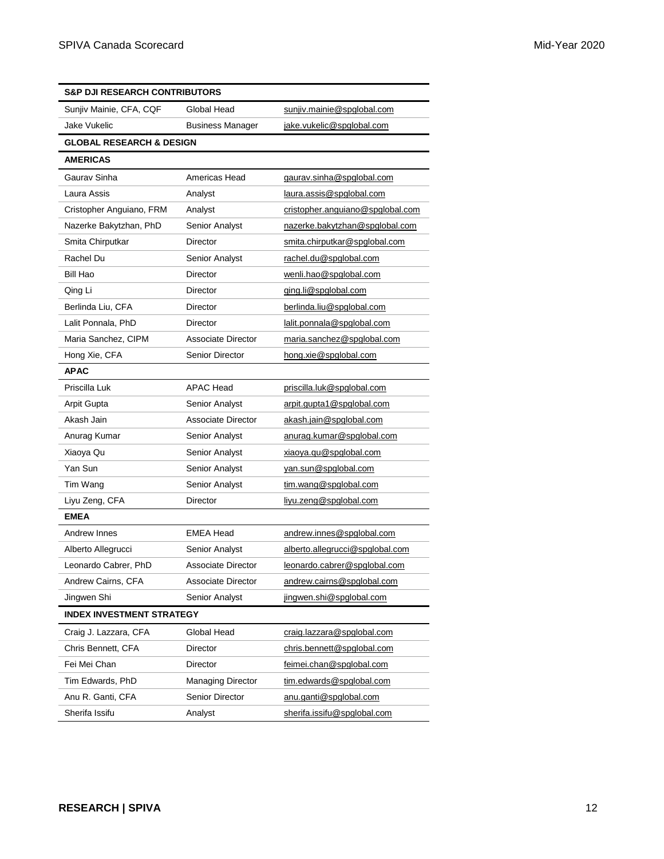| <b>S&amp;P DJI RESEARCH CONTRIBUTORS</b> |                           |                                  |  |
|------------------------------------------|---------------------------|----------------------------------|--|
| Sunjiv Mainie, CFA, CQF                  | Global Head               | sunjiv.mainie@spglobal.com       |  |
| Jake Vukelic                             | <b>Business Manager</b>   | jake.vukelic@spglobal.com        |  |
| <b>GLOBAL RESEARCH &amp; DESIGN</b>      |                           |                                  |  |
| <b>AMERICAS</b>                          |                           |                                  |  |
| Gaurav Sinha                             | Americas Head             | gaurav.sinha@spglobal.com        |  |
| Laura Assis                              | Analyst                   | laura.assis@spglobal.com         |  |
| Cristopher Anguiano, FRM                 | Analyst                   | cristopher.anguiano@spglobal.com |  |
| Nazerke Bakytzhan, PhD                   | Senior Analyst            | nazerke.bakytzhan@spglobal.com   |  |
| Smita Chirputkar                         | Director                  | smita.chirputkar@spglobal.com    |  |
| Rachel Du                                | Senior Analyst            | rachel.du@spglobal.com           |  |
| Bill Hao                                 | Director                  | wenli.hao@spglobal.com           |  |
| Qing Li                                  | Director                  | ging.li@spglobal.com             |  |
| Berlinda Liu, CFA                        | Director                  | berlinda.liu@spglobal.com        |  |
| Lalit Ponnala, PhD                       | Director                  | lalit.ponnala@spglobal.com       |  |
| Maria Sanchez, CIPM                      | <b>Associate Director</b> | maria.sanchez@spglobal.com       |  |
| Hong Xie, CFA                            | <b>Senior Director</b>    | hong.xie@spglobal.com            |  |
| <b>APAC</b>                              |                           |                                  |  |
| Priscilla Luk                            | <b>APAC Head</b>          | priscilla.luk@spglobal.com       |  |
| Arpit Gupta                              | Senior Analyst            | arpit.gupta1@spglobal.com        |  |
| Akash Jain                               | <b>Associate Director</b> | akash.jain@spglobal.com          |  |
| Anurag Kumar                             | <b>Senior Analyst</b>     | anurag.kumar@spglobal.com        |  |
| Xiaoya Qu                                | Senior Analyst            | xiaoya.qu@spglobal.com           |  |
| Yan Sun                                  | Senior Analyst            | yan.sun@spglobal.com             |  |
| Tim Wang                                 | Senior Analyst            | tim.wang@spglobal.com            |  |
| Liyu Zeng, CFA                           | Director                  | liyu.zeng@spglobal.com           |  |
| <b>EMEA</b>                              |                           |                                  |  |
| Andrew Innes                             | <b>EMEA Head</b>          | andrew.innes@spglobal.com        |  |
| Alberto Allegrucci                       | Senior Analyst            | alberto.allegrucci@spglobal.com  |  |
| Leonardo Cabrer, PhD                     | Associate Director        | leonardo.cabrer@spglobal.com     |  |
| Andrew Cairns, CFA                       | Associate Director        | andrew.cairns@spglobal.com       |  |
| Jingwen Shi                              | Senior Analyst            | jingwen.shi@spglobal.com         |  |
| <b>INDEX INVESTMENT STRATEGY</b>         |                           |                                  |  |
| Craig J. Lazzara, CFA                    | Global Head               | craig.lazzara@spglobal.com       |  |
| Chris Bennett, CFA                       | Director                  | chris.bennett@spglobal.com       |  |
| Fei Mei Chan                             | Director                  | feimei.chan@spglobal.com         |  |
| Tim Edwards, PhD                         | Managing Director         | tim.edwards@spglobal.com         |  |
| Anu R. Ganti, CFA                        | <b>Senior Director</b>    | anu.ganti@spglobal.com           |  |
| Sherifa Issifu                           | Analyst                   | sherifa.issifu@spglobal.com      |  |